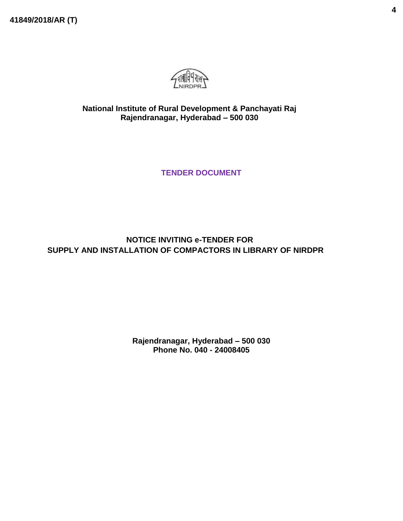**41849/2018/AR (T)**



**National Institute of Rural Development & Panchayati Raj Rajendranagar, Hyderabad – 500 030**

**TENDER DOCUMENT**

**NOTICE INVITING e-TENDER FOR SUPPLY AND INSTALLATION OF COMPACTORS IN LIBRARY OF NIRDPR**

> **Rajendranagar, Hyderabad – 500 030 Phone No. 040 - 24008405**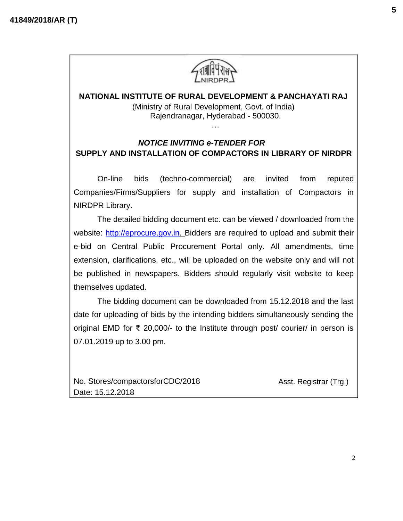

## **NATIONAL INSTITUTE OF RURAL DEVELOPMENT & PANCHAYATI RAJ** (Ministry of Rural Development, Govt. of India) Rajendranagar, Hyderabad - 500030. …

# *NOTICE INVITING e-TENDER FOR* **SUPPLY AND INSTALLATION OF COMPACTORS IN LIBRARY OF NIRDPR**

On-line bids (techno-commercial) are invited from reputed Companies/Firms/Suppliers for supply and installation of Compactors in NIRDPR Library.

The detailed bidding document etc. can be viewed / downloaded from the website: [http://eprocure.gov.in. B](http://eprocure.gov.in/)idders are required to upload and submit their e-bid on Central Public Procurement Portal only. All amendments, time extension, clarifications, etc., will be uploaded on the website only and will not be published in newspapers. Bidders should regularly visit website to keep themselves updated.

The bidding document can be downloaded from 15.12.2018 and the last date for uploading of bids by the intending bidders simultaneously sending the original EMD for ₹ 20,000/- to the Institute through post/ courier/ in person is 07.01.2019 up to 3.00 pm.

No. Stores/compactorsforCDC/2018 Date: 15.12.2018

Asst. Registrar (Trg.)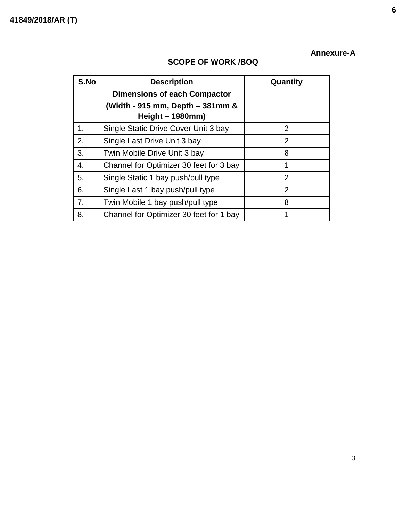# **Annexure-A**

# **SCOPE OF WORK /BOQ**

| S.No | <b>Description</b><br><b>Dimensions of each Compactor</b><br>(Width - 915 mm, Depth – 381mm &<br>Height $-1980$ mm) | Quantity       |
|------|---------------------------------------------------------------------------------------------------------------------|----------------|
| 1.   | Single Static Drive Cover Unit 3 bay                                                                                | $\overline{2}$ |
| 2.   | Single Last Drive Unit 3 bay                                                                                        | $\overline{2}$ |
| 3.   | Twin Mobile Drive Unit 3 bay                                                                                        | 8              |
| 4.   | Channel for Optimizer 30 feet for 3 bay                                                                             | 1              |
| 5.   | Single Static 1 bay push/pull type                                                                                  | $\overline{2}$ |
| 6.   | Single Last 1 bay push/pull type                                                                                    | $\overline{2}$ |
| 7.   | Twin Mobile 1 bay push/pull type                                                                                    | 8              |
| 8.   | Channel for Optimizer 30 feet for 1 bay                                                                             | 1              |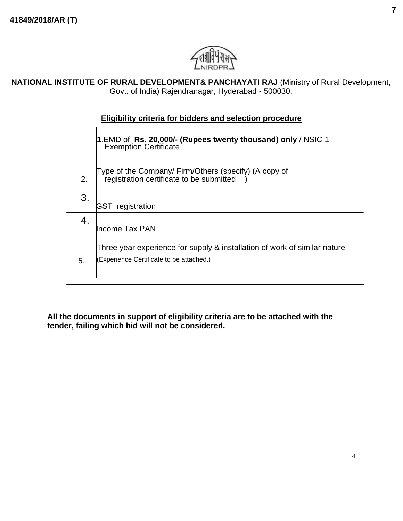

**NATIONAL INSTITUTE OF RURAL DEVELOPMENT& PANCHAYATI RAJ** (Ministry of Rural Development, Govt. of India) Rajendranagar, Hyderabad - 500030.

## **Eligibility criteria for bidders and selection procedure**

|    | 1.EMD of <b>Rs. 20,000/- (Rupees twenty thousand) only</b> / NSIC 1<br>  Exemption Certificate                        |
|----|-----------------------------------------------------------------------------------------------------------------------|
| 2. | Type of the Company/ Firm/Others (specify) (A copy of<br>registration certificate to be submitted                     |
| 3. | registration<br>IGST                                                                                                  |
| 4. | Income Tax PAN                                                                                                        |
| 5. | Three year experience for supply & installation of work of similar nature<br>(Experience Certificate to be attached.) |

**All the documents in support of eligibility criteria are to be attached with the tender, failing which bid will not be considered.**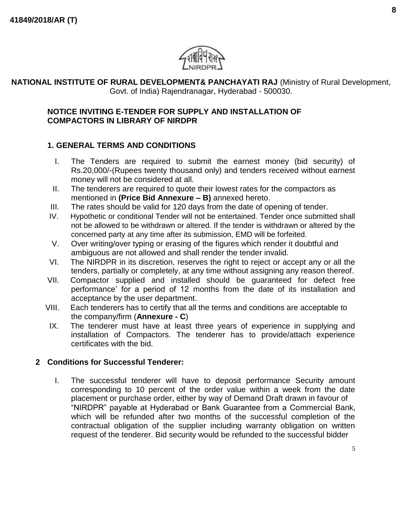

### **NATIONAL INSTITUTE OF RURAL DEVELOPMENT& PANCHAYATI RAJ** (Ministry of Rural Development, Govt. of India) Rajendranagar, Hyderabad - 500030.

#### **NOTICE INVITING E-TENDER FOR SUPPLY AND INSTALLATION OF COMPACTORS IN LIBRARY OF NIRDPR**

## **1. GENERAL TERMS AND CONDITIONS**

- I. The Tenders are required to submit the earnest money (bid security) of Rs.20,000/-(Rupees twenty thousand only) and tenders received without earnest money will not be considered at all.
- II. The tenderers are required to quote their lowest rates for the compactors as mentioned in **(Price Bid Annexure – B)** annexed hereto.
- III. The rates should be valid for 120 days from the date of opening of tender.
- IV. Hypothetic or conditional Tender will not be entertained. Tender once submitted shall not be allowed to be withdrawn or altered. If the tender is withdrawn or altered by the concerned party at any time after its submission, EMD will be forfeited.
- V. Over writing/over typing or erasing of the figures which render it doubtful and ambiguous are not allowed and shall render the tender invalid.
- VI. The NIRDPR in its discretion, reserves the right to reject or accept any or all the tenders, partially or completely, at any time without assigning any reason thereof.
- VII. Compactor supplied and installed should be guaranteed for defect free performance' for a period of 12 months from the date of its installation and acceptance by the user department.
- VIII. Each tenderers has to certify that all the terms and conditions are acceptable to the company/firm (**Annexure - C**)
- IX. The tenderer must have at least three years of experience in supplying and installation of Compactors. The tenderer has to provide/attach experience certificates with the bid.

# **2 Conditions for Successful Tenderer:**

I. The successful tenderer will have to deposit performance Security amount corresponding to 10 percent of the order value within a week from the date placement or purchase order, either by way of Demand Draft drawn in favour of "NIRDPR" payable at Hyderabad or Bank Guarantee from a Commercial Bank, which will be refunded after two months of the successful completion of the contractual obligation of the supplier including warranty obligation on written request of the tenderer. Bid security would be refunded to the successful bidder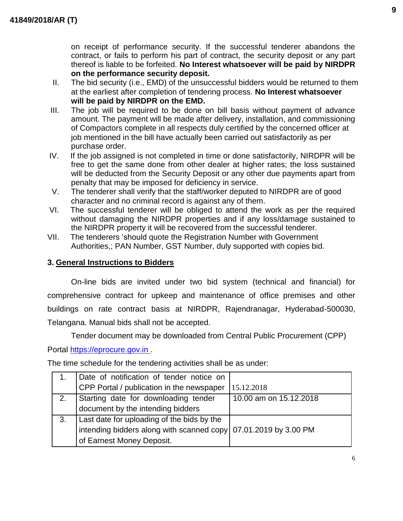on receipt of performance security. If the successful tenderer abandons the contract, or fails to perform his part of contract, the security deposit or any part thereof is liable to be forfeited. **No Interest whatsoever will be paid by NIRDPR on the performance security deposit.**

- II. The bid security (i.e., EMD) of the unsuccessful bidders would be returned to them at the earliest after completion of tendering process. **No Interest whatsoever will be paid by NIRDPR on the EMD.**
- III. The job will be required to be done on bill basis without payment of advance amount. The payment will be made after delivery, installation, and commissioning of Compactors complete in all respects duly certified by the concerned officer at job mentioned in the bill have actually been carried out satisfactorily as per purchase order.
- IV. If the job assigned is not completed in time or done satisfactorily, NIRDPR will be free to get the same done from other dealer at higher rates; the loss sustained will be deducted from the Security Deposit or any other due payments apart from penalty that may be imposed for deficiency in service.
- V. The tenderer shall verify that the staff/worker deputed to NIRDPR are of good character and no criminal record is against any of them.
- VI. The successful tenderer will be obliged to attend the work as per the required without damaging the NIRDPR properties and if any loss/damage sustained to the NIRDPR property it will be recovered from the successful tenderer.
- VII. The tenderers 'should quote the Registration Number with Government Authorities,; PAN Number, GST Number, duly supported with copies bid.

## **3. General Instructions to Bidders**

On-line bids are invited under two bid system (technical and financial) for comprehensive contract for upkeep and maintenance of office premises and other buildings on rate contract basis at NIRDPR, Rajendranagar, Hyderabad-500030, Telangana. Manual bids shall not be accepted.

Tender document may be downloaded from Central Public Procurement (CPP)

Portal [https://eprocure.gov.in](https://eprocure.gov.in/) .

The time schedule for the tendering activities shall be as under:

|    | Date of notification of tender notice on                        |                        |
|----|-----------------------------------------------------------------|------------------------|
|    | CPP Portal / publication in the newspaper                       | 15.12.2018             |
| 2. | Starting date for downloading tender                            | 10.00 am on 15.12.2018 |
|    | document by the intending bidders                               |                        |
| 3. | Last date for uploading of the bids by the                      |                        |
|    | intending bidders along with scanned copy 07.01.2019 by 3.00 PM |                        |
|    | of Earnest Money Deposit.                                       |                        |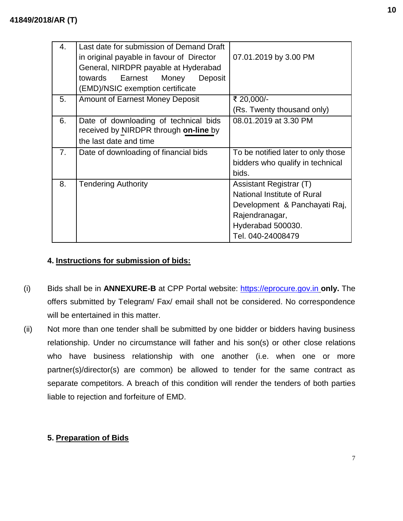| 4. | Last date for submission of Demand Draft<br>in original payable in favour of Director<br>General, NIRDPR payable at Hyderabad<br>Earnest<br>towards<br>Money<br>Deposit<br>(EMD)/NSIC exemption certificate | 07.01.2019 by 3.00 PM                                                                                                                               |
|----|-------------------------------------------------------------------------------------------------------------------------------------------------------------------------------------------------------------|-----------------------------------------------------------------------------------------------------------------------------------------------------|
| 5. | <b>Amount of Earnest Money Deposit</b>                                                                                                                                                                      | ₹ 20,000/-                                                                                                                                          |
|    |                                                                                                                                                                                                             | (Rs. Twenty thousand only)                                                                                                                          |
| 6. | Date of downloading of technical bids<br>received by NIRDPR through on-line by<br>the last date and time                                                                                                    | 08.01.2019 at 3.30 PM                                                                                                                               |
| 7. | Date of downloading of financial bids                                                                                                                                                                       | To be notified later to only those<br>bidders who qualify in technical<br>bids.                                                                     |
| 8. | <b>Tendering Authority</b>                                                                                                                                                                                  | Assistant Registrar (T)<br>National Institute of Rural<br>Development & Panchayati Raj,<br>Rajendranagar,<br>Hyderabad 500030.<br>Tel. 040-24008479 |

# **4. Instructions for submission of bids:**

- (i) Bids shall be in **ANNEXURE-B** at CPP Portal website: [https://eprocure.gov.in](https://eprocure.gov.in/) **only.** The offers submitted by Telegram/ Fax/ email shall not be considered. No correspondence will be entertained in this matter.
- (ii) Not more than one tender shall be submitted by one bidder or bidders having business relationship. Under no circumstance will father and his son(s) or other close relations who have business relationship with one another (i.e. when one or more partner(s)/director(s) are common) be allowed to tender for the same contract as separate competitors. A breach of this condition will render the tenders of both parties liable to rejection and forfeiture of EMD.

# **5. Preparation of Bids**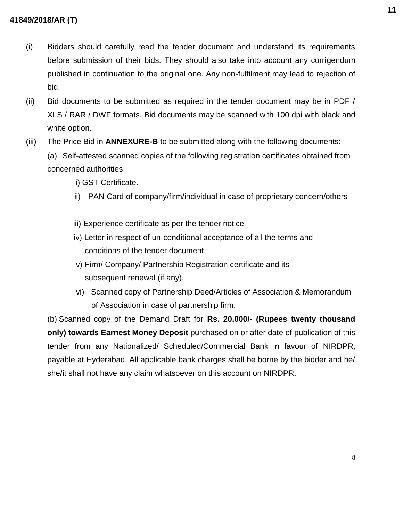- (i) Bidders should carefully read the tender document and understand its requirements before submission of their bids. They should also take into account any corrigendum published in continuation to the original one. Any non-fulfilment may lead to rejection of bid.
- (ii) Bid documents to be submitted as required in the tender document may be in PDF / XLS / RAR / DWF formats. Bid documents may be scanned with 100 dpi with black and white option.
- (iii) The Price Bid in **ANNEXURE-B** to be submitted along with the following documents:
	- (a) Self-attested scanned copies of the following registration certificates obtained from concerned authorities
		- i) GST Certificate.
		- ii) PAN Card of company/firm/individual in case of proprietary concern/others
		- iii) Experience certificate as per the tender notice
		- iv) Letter in respect of un-conditional acceptance of all the terms and conditions of the tender document.
		- v) Firm/ Company/ Partnership Registration certificate and its subsequent renewal (if any).
		- vi) Scanned copy of Partnership Deed/Articles of Association & Memorandum of Association in case of partnership firm.

(b) Scanned copy of the Demand Draft for **Rs. 20,000/- (Rupees twenty thousand only) towards Earnest Money Deposit** purchased on or after date of publication of this tender from any Nationalized/ Scheduled/Commercial Bank in favour of NIRDPR, payable at Hyderabad. All applicable bank charges shall be borne by the bidder and he/ she/it shall not have any claim whatsoever on this account on NIRDPR.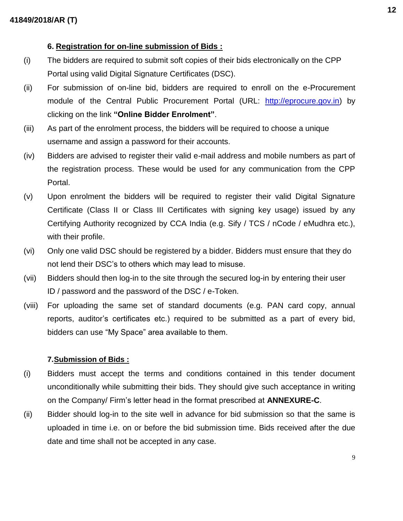## **6. Registration for on-line submission of Bids :**

- (i) The bidders are required to submit soft copies of their bids electronically on the CPP Portal using valid Digital Signature Certificates (DSC).
- (ii) For submission of on-line bid, bidders are required to enroll on the e-Procurement module of the Central Public Procurement Portal (URL: [http://eprocure.gov.in\)](http://eprocure.gov.in/eprocure/app) by clicking on the link **"Online Bidder Enrolment"**.
- (iii) As part of the enrolment process, the bidders will be required to choose a unique username and assign a password for their accounts.
- (iv) Bidders are advised to register their valid e-mail address and mobile numbers as part of the registration process. These would be used for any communication from the CPP Portal.
- (v) Upon enrolment the bidders will be required to register their valid Digital Signature Certificate (Class II or Class III Certificates with signing key usage) issued by any Certifying Authority recognized by CCA India (e.g. Sify / TCS / nCode / eMudhra etc.), with their profile.
- (vi) Only one valid DSC should be registered by a bidder. Bidders must ensure that they do not lend their DSC's to others which may lead to misuse.
- (vii) Bidders should then log-in to the site through the secured log-in by entering their user ID / password and the password of the DSC / e-Token.
- (viii) For uploading the same set of standard documents (e.g. PAN card copy, annual reports, auditor's certificates etc.) required to be submitted as a part of every bid, bidders can use "My Space" area available to them.

### **7.Submission of Bids :**

- (i) Bidders must accept the terms and conditions contained in this tender document unconditionally while submitting their bids. They should give such acceptance in writing on the Company/ Firm's letter head in the format prescribed at **ANNEXURE-C**.
- (ii) Bidder should log-in to the site well in advance for bid submission so that the same is uploaded in time i.e. on or before the bid submission time. Bids received after the due date and time shall not be accepted in any case.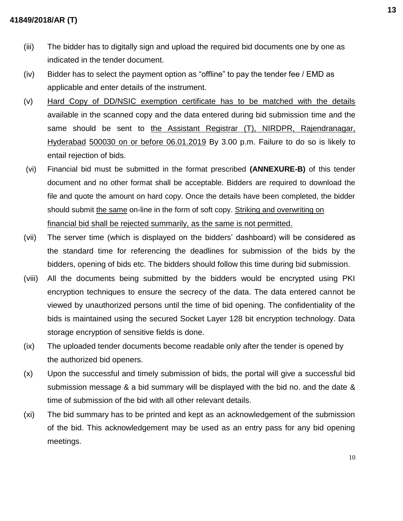- (iii) The bidder has to digitally sign and upload the required bid documents one by one as indicated in the tender document.
- (iv) Bidder has to select the payment option as "offline" to pay the tender fee / EMD as applicable and enter details of the instrument.
- (v) Hard Copy of DD/NSIC exemption certificate has to be matched with the details available in the scanned copy and the data entered during bid submission time and the same should be sent to the Assistant Registrar (T), NIRDPR, Rajendranagar, Hyderabad 500030 on or before 06.01.2019 By 3.00 p.m. Failure to do so is likely to entail rejection of bids.
- (vi) Financial bid must be submitted in the format prescribed **(ANNEXURE-B)** of this tender document and no other format shall be acceptable. Bidders are required to download the file and quote the amount on hard copy. Once the details have been completed, the bidder should submit the same on-line in the form of soft copy. Striking and overwriting on financial bid shall be rejected summarily, as the same is not permitted.
- (vii) The server time (which is displayed on the bidders' dashboard) will be considered as the standard time for referencing the deadlines for submission of the bids by the bidders, opening of bids etc. The bidders should follow this time during bid submission.
- (viii) All the documents being submitted by the bidders would be encrypted using PKI encryption techniques to ensure the secrecy of the data. The data entered cannot be viewed by unauthorized persons until the time of bid opening. The confidentiality of the bids is maintained using the secured Socket Layer 128 bit encryption technology. Data storage encryption of sensitive fields is done.
- (ix) The uploaded tender documents become readable only after the tender is opened by the authorized bid openers.
- (x) Upon the successful and timely submission of bids, the portal will give a successful bid submission message & a bid summary will be displayed with the bid no. and the date & time of submission of the bid with all other relevant details.
- (xi) The bid summary has to be printed and kept as an acknowledgement of the submission of the bid. This acknowledgement may be used as an entry pass for any bid opening meetings.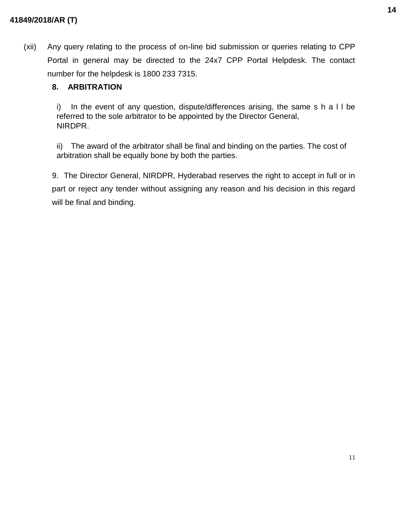(xii) Any query relating to the process of on-line bid submission or queries relating to CPP Portal in general may be directed to the 24x7 CPP Portal Helpdesk. The contact number for the helpdesk is 1800 233 7315.

# **8. ARBITRATION**

i) In the event of any question, dispute/differences arising, the same s h a l l be referred to the sole arbitrator to be appointed by the Director General, NIRDPR.

ii) The award of the arbitrator shall be final and binding on the parties. The cost of arbitration shall be equally bone by both the parties.

9. The Director General, NIRDPR, Hyderabad reserves the right to accept in full or in part or reject any tender without assigning any reason and his decision in this regard will be final and binding.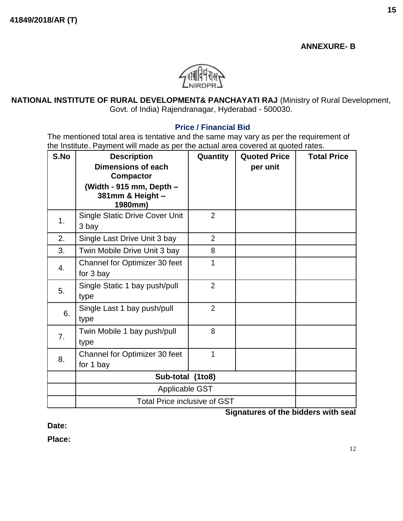# **ANNEXURE- B**



**NATIONAL INSTITUTE OF RURAL DEVELOPMENT& PANCHAYATI RAJ** (Ministry of Rural Development, Govt. of India) Rajendranagar, Hyderabad - 500030.

### **Price / Financial Bid**

The mentioned total area is tentative and the same may vary as per the requirement of the Institute. Payment will made as per the actual area covered at quoted rates.

| S.No | <b>Description</b><br><b>Dimensions of each</b><br><b>Compactor</b><br>(Width - 915 mm, Depth -<br>381mm & Height - | Quantity       | <b>Quoted Price</b><br>per unit | <b>Total Price</b> |
|------|---------------------------------------------------------------------------------------------------------------------|----------------|---------------------------------|--------------------|
|      | 1980mm)                                                                                                             |                |                                 |                    |
| 1.   | <b>Single Static Drive Cover Unit</b><br>3 bay                                                                      | $\overline{2}$ |                                 |                    |
| 2.   | Single Last Drive Unit 3 bay                                                                                        | $\overline{2}$ |                                 |                    |
| 3.   | Twin Mobile Drive Unit 3 bay                                                                                        | 8              |                                 |                    |
| 4.   | Channel for Optimizer 30 feet<br>for 3 bay                                                                          | 1              |                                 |                    |
| 5.   | Single Static 1 bay push/pull<br>type                                                                               | $\overline{2}$ |                                 |                    |
| 6.   | Single Last 1 bay push/pull<br>type                                                                                 | $\overline{2}$ |                                 |                    |
| 7.   | Twin Mobile 1 bay push/pull<br>type                                                                                 | 8              |                                 |                    |
| 8.   | Channel for Optimizer 30 feet<br>for 1 bay                                                                          | 1              |                                 |                    |
|      | Sub-total (1to8)                                                                                                    |                |                                 |                    |
|      | <b>Applicable GST</b>                                                                                               |                |                                 |                    |
|      | <b>Total Price inclusive of GST</b>                                                                                 |                |                                 |                    |

**Signatures of the bidders with seal**

**Date:**

**Place:**